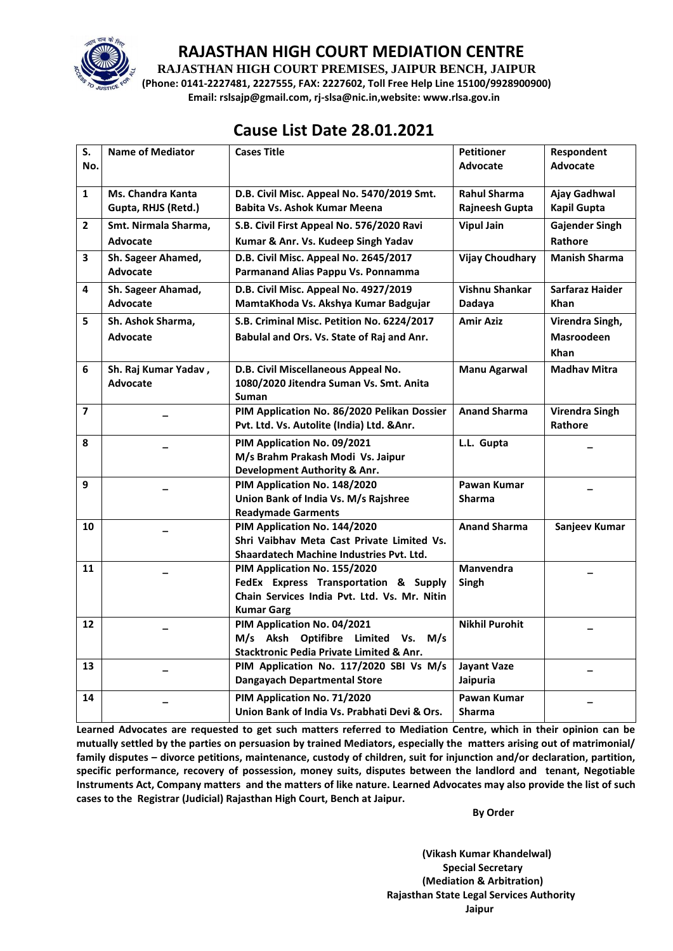

#### **RAJASTHAN HIGH COURT MEDIATION CENTRE**

**RAJASTHAN HIGH COURT PREMISES, JAIPUR BENCH, JAIPUR**

**(Phone: 0141-2227481, 2227555, FAX: 2227602, Toll Free Help Line 15100/9928900900) Email: rslsajp@gmail.com, rj-slsa@nic.in,website: www.rlsa.gov.in**

# **Cause List Date 28.01.2021**

| S.                      | <b>Name of Mediator</b>  | <b>Cases Title</b>                                  | <b>Petitioner</b>      | Respondent            |
|-------------------------|--------------------------|-----------------------------------------------------|------------------------|-----------------------|
| No.                     |                          |                                                     | <b>Advocate</b>        | <b>Advocate</b>       |
|                         |                          |                                                     |                        |                       |
| $\mathbf{1}$            | <b>Ms. Chandra Kanta</b> | D.B. Civil Misc. Appeal No. 5470/2019 Smt.          | <b>Rahul Sharma</b>    | <b>Ajay Gadhwal</b>   |
|                         | Gupta, RHJS (Retd.)      | Babita Vs. Ashok Kumar Meena                        | Rajneesh Gupta         | <b>Kapil Gupta</b>    |
| $\overline{2}$          | Smt. Nirmala Sharma,     | S.B. Civil First Appeal No. 576/2020 Ravi           | <b>Vipul Jain</b>      | <b>Gajender Singh</b> |
|                         | Advocate                 | Kumar & Anr. Vs. Kudeep Singh Yadav                 |                        | Rathore               |
|                         |                          |                                                     |                        |                       |
| 3                       | Sh. Sageer Ahamed,       | D.B. Civil Misc. Appeal No. 2645/2017               | <b>Vijay Choudhary</b> | <b>Manish Sharma</b>  |
|                         | <b>Advocate</b>          | Parmanand Alias Pappu Vs. Ponnamma                  |                        |                       |
| 4                       | Sh. Sageer Ahamad,       | D.B. Civil Misc. Appeal No. 4927/2019               | Vishnu Shankar         | Sarfaraz Haider       |
|                         | Advocate                 | MamtaKhoda Vs. Akshya Kumar Badgujar                | Dadaya                 | <b>Khan</b>           |
| 5                       | Sh. Ashok Sharma.        | S.B. Criminal Misc. Petition No. 6224/2017          | <b>Amir Aziz</b>       | Virendra Singh,       |
|                         | <b>Advocate</b>          | Babulal and Ors. Vs. State of Raj and Anr.          |                        | <b>Masroodeen</b>     |
|                         |                          |                                                     |                        | <b>Khan</b>           |
| 6                       | Sh. Raj Kumar Yadav,     | D.B. Civil Miscellaneous Appeal No.                 | <b>Manu Agarwal</b>    | <b>Madhav Mitra</b>   |
|                         | <b>Advocate</b>          | 1080/2020 Jitendra Suman Vs. Smt. Anita             |                        |                       |
|                         |                          | <b>Suman</b>                                        |                        |                       |
| $\overline{\mathbf{z}}$ |                          | PIM Application No. 86/2020 Pelikan Dossier         | <b>Anand Sharma</b>    | <b>Virendra Singh</b> |
|                         |                          | Pvt. Ltd. Vs. Autolite (India) Ltd. & Anr.          |                        | Rathore               |
|                         |                          |                                                     |                        |                       |
| 8                       |                          | PIM Application No. 09/2021                         | L.L. Gupta             |                       |
|                         |                          | M/s Brahm Prakash Modi Vs. Jaipur                   |                        |                       |
|                         |                          | Development Authority & Anr.                        |                        |                       |
| 9                       |                          | PIM Application No. 148/2020                        | Pawan Kumar            |                       |
|                         |                          | Union Bank of India Vs. M/s Rajshree                | <b>Sharma</b>          |                       |
|                         |                          | <b>Readymade Garments</b>                           |                        |                       |
| 10                      |                          | PIM Application No. 144/2020                        | <b>Anand Sharma</b>    | Sanjeev Kumar         |
|                         |                          | Shri Vaibhay Meta Cast Private Limited Vs.          |                        |                       |
|                         |                          | Shaardatech Machine Industries Pvt. Ltd.            |                        |                       |
| 11                      |                          | PIM Application No. 155/2020                        | <b>Manvendra</b>       |                       |
|                         |                          | FedEx Express Transportation & Supply               | Singh                  |                       |
|                         |                          | Chain Services India Pvt. Ltd. Vs. Mr. Nitin        |                        |                       |
|                         |                          | <b>Kumar Garg</b>                                   |                        |                       |
| 12                      |                          | PIM Application No. 04/2021                         | <b>Nikhil Purohit</b>  |                       |
|                         |                          | M/s Aksh Optifibre Limited Vs.<br>M/s               |                        |                       |
|                         |                          | <b>Stacktronic Pedia Private Limited &amp; Anr.</b> |                        |                       |
| 13                      |                          | PIM Application No. 117/2020 SBI Vs M/s             | <b>Jayant Vaze</b>     |                       |
|                         |                          | <b>Dangayach Departmental Store</b>                 | Jaipuria               |                       |
| 14                      |                          | PIM Application No. 71/2020                         | Pawan Kumar            |                       |
|                         |                          | Union Bank of India Vs. Prabhati Devi & Ors.        | <b>Sharma</b>          |                       |

**Learned Advocates are requested to get such matters referred to Mediation Centre, which in their opinion can be mutually settled by the parties on persuasion by trained Mediators, especially the matters arising out of matrimonial/ family disputes – divorce petitions, maintenance, custody of children, suit for injunction and/or declaration, partition, specific performance, recovery of possession, money suits, disputes between the landlord and tenant, Negotiable Instruments Act, Company matters and the matters of like nature. Learned Advocates may also provide the list of such cases to the Registrar (Judicial) Rajasthan High Court, Bench at Jaipur.** 

 **By Order** 

**(Vikash Kumar Khandelwal) Special Secretary (Mediation & Arbitration) Rajasthan State Legal Services Authority Jaipur**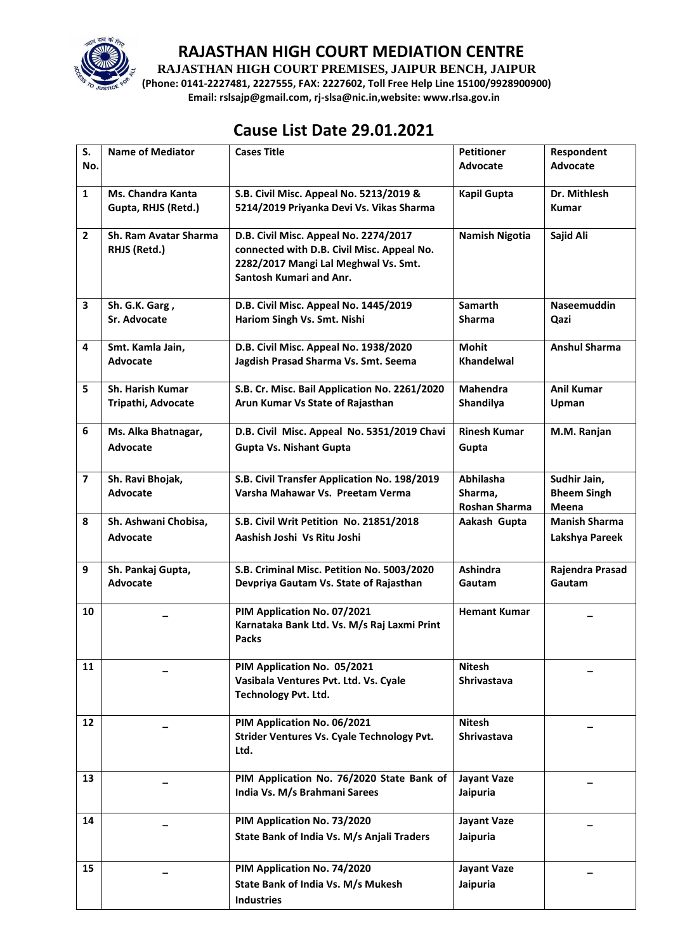

### **RAJASTHAN HIGH COURT MEDIATION CENTRE**

**RAJASTHAN HIGH COURT PREMISES, JAIPUR BENCH, JAIPUR**

**(Phone: 0141-2227481, 2227555, FAX: 2227602, Toll Free Help Line 15100/9928900900) Email: rslsajp@gmail.com, rj-slsa@nic.in,website: www.rlsa.gov.in**

# **Cause List Date 29.01.2021**

| S.                | <b>Name of Mediator</b>                         | <b>Cases Title</b>                                                                                                                                     | <b>Petitioner</b>                            | Respondent                                  |
|-------------------|-------------------------------------------------|--------------------------------------------------------------------------------------------------------------------------------------------------------|----------------------------------------------|---------------------------------------------|
| No.               |                                                 |                                                                                                                                                        | Advocate                                     | <b>Advocate</b>                             |
| $\mathbf{1}$      | <b>Ms. Chandra Kanta</b><br>Gupta, RHJS (Retd.) | S.B. Civil Misc. Appeal No. 5213/2019 &<br>5214/2019 Priyanka Devi Vs. Vikas Sharma                                                                    | <b>Kapil Gupta</b>                           | Dr. Mithlesh<br><b>Kumar</b>                |
| $\mathbf{2}$      | Sh. Ram Avatar Sharma<br>RHJS (Retd.)           | D.B. Civil Misc. Appeal No. 2274/2017<br>connected with D.B. Civil Misc. Appeal No.<br>2282/2017 Mangi Lal Meghwal Vs. Smt.<br>Santosh Kumari and Anr. | <b>Namish Nigotia</b>                        | Sajid Ali                                   |
| 3                 | Sh. G.K. Garg,<br><b>Sr. Advocate</b>           | D.B. Civil Misc. Appeal No. 1445/2019<br>Hariom Singh Vs. Smt. Nishi                                                                                   | Samarth<br><b>Sharma</b>                     | <b>Naseemuddin</b><br>Qazi                  |
| 4                 | Smt. Kamla Jain,<br><b>Advocate</b>             | D.B. Civil Misc. Appeal No. 1938/2020<br>Jagdish Prasad Sharma Vs. Smt. Seema                                                                          | <b>Mohit</b><br>Khandelwal                   | <b>Anshul Sharma</b>                        |
| 5                 | <b>Sh. Harish Kumar</b><br>Tripathi, Advocate   | S.B. Cr. Misc. Bail Application No. 2261/2020<br>Arun Kumar Vs State of Rajasthan                                                                      | <b>Mahendra</b><br>Shandilya                 | <b>Anil Kumar</b><br>Upman                  |
| 6                 | Ms. Alka Bhatnagar,<br>Advocate                 | D.B. Civil Misc. Appeal No. 5351/2019 Chavi<br><b>Gupta Vs. Nishant Gupta</b>                                                                          | <b>Rinesh Kumar</b><br>Gupta                 | M.M. Ranjan                                 |
| $\overline{7}$    | Sh. Ravi Bhojak,<br>Advocate                    | S.B. Civil Transfer Application No. 198/2019<br>Varsha Mahawar Vs. Preetam Verma                                                                       | Abhilasha<br>Sharma,<br><b>Roshan Sharma</b> | Sudhir Jain,<br><b>Bheem Singh</b><br>Meena |
| 8                 | Sh. Ashwani Chobisa,<br>Advocate                | S.B. Civil Writ Petition No. 21851/2018<br>Aashish Joshi Vs Ritu Joshi                                                                                 | Aakash Gupta                                 | <b>Manish Sharma</b><br>Lakshya Pareek      |
| 9                 | Sh. Pankaj Gupta,<br><b>Advocate</b>            | S.B. Criminal Misc. Petition No. 5003/2020<br>Devpriya Gautam Vs. State of Rajasthan                                                                   | Ashindra<br>Gautam                           | Rajendra Prasad<br>Gautam                   |
| 10                |                                                 | PIM Application No. 07/2021<br>Karnataka Bank Ltd. Vs. M/s Raj Laxmi Print<br><b>Packs</b>                                                             | <b>Hemant Kumar</b>                          |                                             |
| 11                |                                                 | PIM Application No. 05/2021<br>Vasibala Ventures Pvt. Ltd. Vs. Cyale<br><b>Technology Pvt. Ltd.</b>                                                    | <b>Nitesh</b><br><b>Shrivastava</b>          |                                             |
| $12 \overline{ }$ |                                                 | PIM Application No. 06/2021<br>Strider Ventures Vs. Cyale Technology Pvt.<br>Ltd.                                                                      | <b>Nitesh</b><br><b>Shrivastava</b>          |                                             |
| 13                |                                                 | PIM Application No. 76/2020 State Bank of<br>India Vs. M/s Brahmani Sarees                                                                             | <b>Jayant Vaze</b><br>Jaipuria               |                                             |
| 14                |                                                 | PIM Application No. 73/2020<br>State Bank of India Vs. M/s Anjali Traders                                                                              | <b>Jayant Vaze</b><br>Jaipuria               |                                             |
| 15                |                                                 | PIM Application No. 74/2020<br>State Bank of India Vs. M/s Mukesh<br><b>Industries</b>                                                                 | <b>Jayant Vaze</b><br>Jaipuria               |                                             |